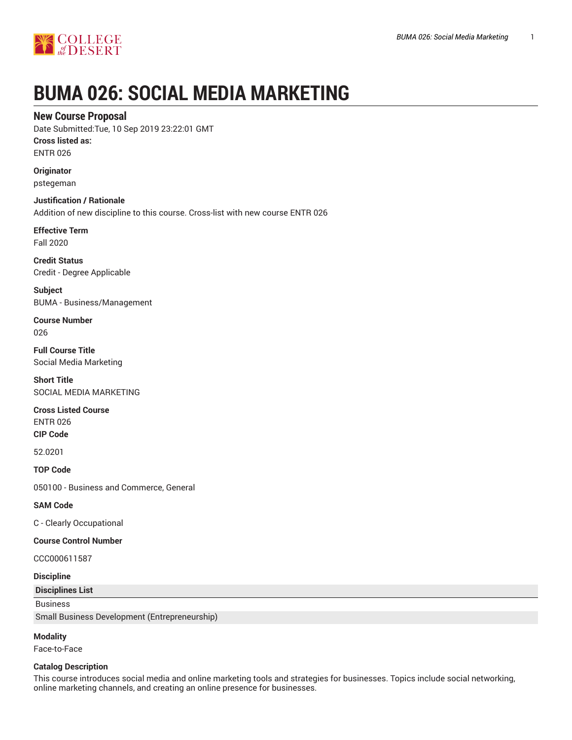

# **BUMA 026: SOCIAL MEDIA MARKETING**

# **New Course Proposal**

Date Submitted:Tue, 10 Sep 2019 23:22:01 GMT **Cross listed as:**

ENTR 026

**Originator** pstegeman

**Justification / Rationale** Addition of new discipline to this course. Cross-list with new course ENTR 026

**Effective Term** Fall 2020

**Credit Status** Credit - Degree Applicable

**Subject** BUMA - Business/Management

**Course Number** 026

**Full Course Title** Social Media Marketing

**Short Title** SOCIAL MEDIA MARKETING

**Cross Listed Course**

ENTR 026 **CIP Code**

52.0201

**TOP Code**

050100 - Business and Commerce, General

**SAM Code**

C - Clearly Occupational

**Course Control Number**

CCC000611587

## **Discipline**

**Disciplines List**

Business

Small Business Development (Entrepreneurship)

# **Modality**

Face-to-Face

# **Catalog Description**

This course introduces social media and online marketing tools and strategies for businesses. Topics include social networking, online marketing channels, and creating an online presence for businesses.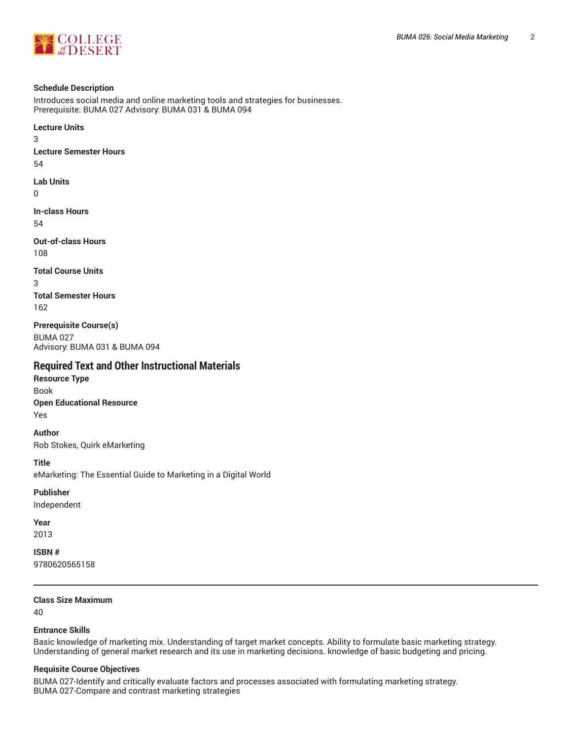

#### **Schedule Description**

Introduces social media and online marketing tools and strategies for businesses. Prerequisite: BUMA 027 Advisory: BUMA 031 & BUMA 094

**Lecture Units** 3 **Lecture Semester Hours** 54 **Lab Units** 0 **In-class Hours** 54

**Out-of-class Hours** 108

**Total Course Units**

3 **Total Semester Hours** 162

**Prerequisite Course(s)** BUMA 027 Advisory: BUMA 031 & BUMA 094

# **Required Text and Other Instructional Materials**

**Resource Type** Book **Open Educational Resource** Yes

**Author** Rob Stokes, Quirk eMarketing

**Title**

eMarketing: The Essential Guide to Marketing in a Digital World

**Publisher**

Independent

**Year** 2013

**ISBN #** 9780620565158

## **Class Size Maximum**

40

#### **Entrance Skills**

Basic knowledge of marketing mix. Understanding of target market concepts. Ability to formulate basic marketing strategy. Understanding of general market research and its use in marketing decisions. knowledge of basic budgeting and pricing.

## **Requisite Course Objectives**

BUMA 027-Identify and critically evaluate factors and processes associated with formulating marketing strategy. BUMA 027-Compare and contrast marketing strategies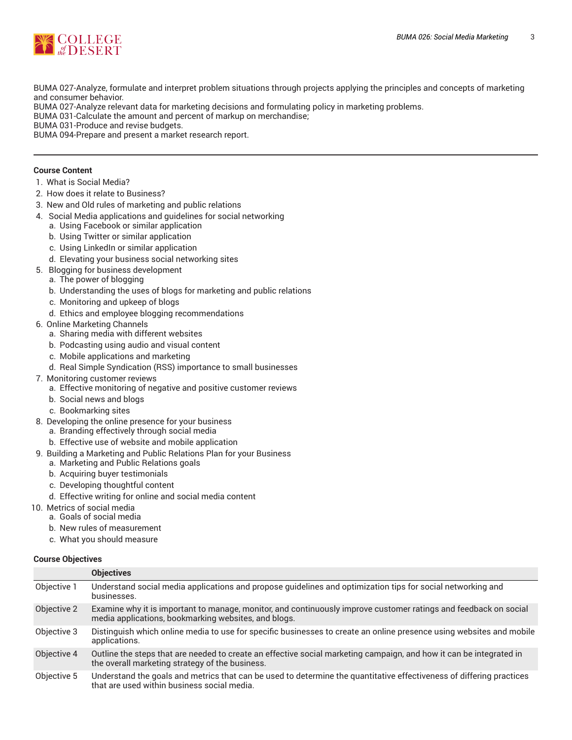

BUMA 027-Analyze, formulate and interpret problem situations through projects applying the principles and concepts of marketing and consumer behavior.

BUMA 027-Analyze relevant data for marketing decisions and formulating policy in marketing problems.

BUMA 031-Calculate the amount and percent of markup on merchandise;

BUMA 031-Produce and revise budgets.

BUMA 094-Prepare and present a market research report.

#### **Course Content**

- 1. What is Social Media?
- 2. How does it relate to Business?
- 3. New and Old rules of marketing and public relations
- 4. Social Media applications and guidelines for social networking
	- a. Using Facebook or similar application
	- b. Using Twitter or similar application
	- c. Using LinkedIn or similar application
	- d. Elevating your business social networking sites
- 5. Blogging for business development
	- a. The power of blogging
	- b. Understanding the uses of blogs for marketing and public relations
	- c. Monitoring and upkeep of blogs
	- d. Ethics and employee blogging recommendations
- 6. Online Marketing Channels
	- a. Sharing media with different websites
	- b. Podcasting using audio and visual content
	- c. Mobile applications and marketing
	- d. Real Simple Syndication (RSS) importance to small businesses
- 7. Monitoring customer reviews
	- a. Effective monitoring of negative and positive customer reviews
	- b. Social news and blogs
	- c. Bookmarking sites
- 8. Developing the online presence for your business
	- a. Branding effectively through social media
	- b. Effective use of website and mobile application
- 9. Building a Marketing and Public Relations Plan for your Business
	- a. Marketing and Public Relations goals
	- b. Acquiring buyer testimonials
	- c. Developing thoughtful content
	- d. Effective writing for online and social media content
- 10. Metrics of social media
- a. Goals of social media
	- b. New rules of measurement
	- c. What you should measure

#### **Course Objectives**

|             | <b>Objectives</b>                                                                                                                                                        |
|-------------|--------------------------------------------------------------------------------------------------------------------------------------------------------------------------|
| Objective 1 | Understand social media applications and propose guidelines and optimization tips for social networking and<br>businesses.                                               |
| Objective 2 | Examine why it is important to manage, monitor, and continuously improve customer ratings and feedback on social<br>media applications, bookmarking websites, and blogs. |
| Objective 3 | Distinguish which online media to use for specific businesses to create an online presence using websites and mobile<br>applications.                                    |
| Objective 4 | Outline the steps that are needed to create an effective social marketing campaign, and how it can be integrated in<br>the overall marketing strategy of the business.   |
| Objective 5 | Understand the goals and metrics that can be used to determine the quantitative effectiveness of differing practices<br>that are used within business social media.      |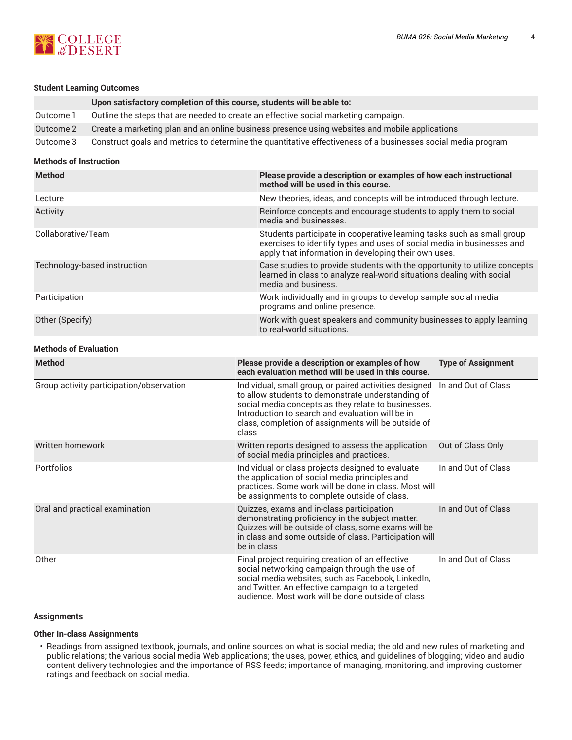

#### **Student Learning Outcomes**

|           | Upon satisfactory completion of this course, students will be able to:                                       |
|-----------|--------------------------------------------------------------------------------------------------------------|
| Outcome 1 | Outline the steps that are needed to create an effective social marketing campaign.                          |
| Outcome 2 | Create a marketing plan and an online business presence using websites and mobile applications               |
| Outcome 3 | Construct goals and metrics to determine the quantitative effectiveness of a businesses social media program |

## **Methods of Instruction**

| <b>Method</b>                | Please provide a description or examples of how each instructional<br>method will be used in this course.                                                                                                |
|------------------------------|----------------------------------------------------------------------------------------------------------------------------------------------------------------------------------------------------------|
| Lecture                      | New theories, ideas, and concepts will be introduced through lecture.                                                                                                                                    |
| Activity                     | Reinforce concepts and encourage students to apply them to social<br>media and businesses.                                                                                                               |
| Collaborative/Team           | Students participate in cooperative learning tasks such as small group<br>exercises to identify types and uses of social media in businesses and<br>apply that information in developing their own uses. |
| Technology-based instruction | Case studies to provide students with the opportunity to utilize concepts<br>learned in class to analyze real-world situations dealing with social<br>media and business.                                |
| Participation                | Work individually and in groups to develop sample social media<br>programs and online presence.                                                                                                          |
| Other (Specify)              | Work with guest speakers and community businesses to apply learning<br>to real-world situations.                                                                                                         |
|                              |                                                                                                                                                                                                          |

#### **Methods of Evaluation**

| <b>Method</b>                            | Please provide a description or examples of how<br>each evaluation method will be used in this course.                                                                                                                                                                                 | <b>Type of Assignment</b> |
|------------------------------------------|----------------------------------------------------------------------------------------------------------------------------------------------------------------------------------------------------------------------------------------------------------------------------------------|---------------------------|
| Group activity participation/observation | Individual, small group, or paired activities designed<br>to allow students to demonstrate understanding of<br>social media concepts as they relate to businesses.<br>Introduction to search and evaluation will be in<br>class, completion of assignments will be outside of<br>class | In and Out of Class       |
| Written homework                         | Written reports designed to assess the application<br>of social media principles and practices.                                                                                                                                                                                        | Out of Class Only         |
| Portfolios                               | Individual or class projects designed to evaluate<br>the application of social media principles and<br>practices. Some work will be done in class. Most will<br>be assignments to complete outside of class.                                                                           | In and Out of Class       |
| Oral and practical examination           | Quizzes, exams and in-class participation<br>demonstrating proficiency in the subject matter.<br>Quizzes will be outside of class, some exams will be<br>in class and some outside of class. Participation will<br>be in class                                                         | In and Out of Class       |
| Other                                    | Final project requiring creation of an effective<br>social networking campaign through the use of<br>social media websites, such as Facebook, LinkedIn,<br>and Twitter. An effective campaign to a targeted<br>audience. Most work will be done outside of class                       | In and Out of Class       |

## **Assignments**

#### **Other In-class Assignments**

• Readings from assigned textbook, journals, and online sources on what is social media; the old and new rules of marketing and public relations; the various social media Web applications; the uses, power, ethics, and guidelines of blogging; video and audio content delivery technologies and the importance of RSS feeds; importance of managing, monitoring, and improving customer ratings and feedback on social media.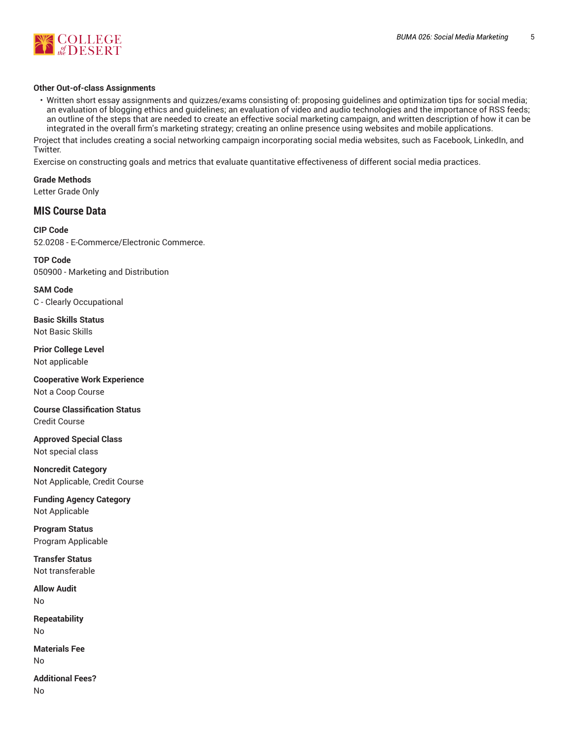

#### **Other Out-of-class Assignments**

• Written short essay assignments and quizzes/exams consisting of: proposing guidelines and optimization tips for social media; an evaluation of blogging ethics and guidelines; an evaluation of video and audio technologies and the importance of RSS feeds; an outline of the steps that are needed to create an effective social marketing campaign, and written description of how it can be integrated in the overall firm's marketing strategy; creating an online presence using websites and mobile applications.

Project that includes creating a social networking campaign incorporating social media websites, such as Facebook, LinkedIn, and Twitter.

Exercise on constructing goals and metrics that evaluate quantitative effectiveness of different social media practices.

**Grade Methods** Letter Grade Only

# **MIS Course Data**

**CIP Code** 52.0208 - E-Commerce/Electronic Commerce.

**TOP Code** 050900 - Marketing and Distribution

**SAM Code** C - Clearly Occupational

**Basic Skills Status** Not Basic Skills

**Prior College Level** Not applicable

**Cooperative Work Experience** Not a Coop Course

**Course Classification Status** Credit Course

**Approved Special Class** Not special class

**Noncredit Category** Not Applicable, Credit Course

**Funding Agency Category** Not Applicable

**Program Status** Program Applicable

**Transfer Status** Not transferable

**Allow Audit** No

**Repeatability** No

**Materials Fee** No

**Additional Fees?** No